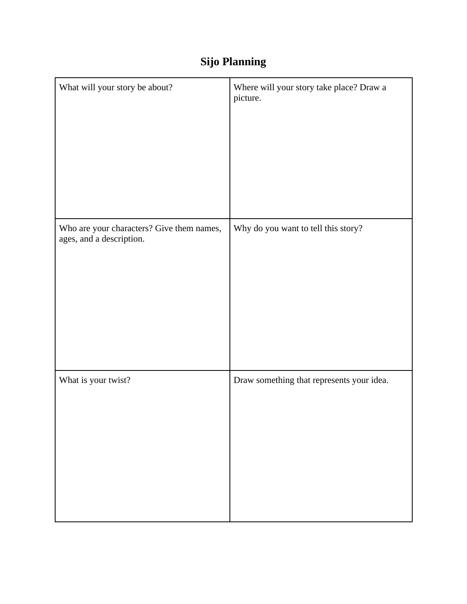# **Sijo Planning**

| What will your story be about?                                        | Where will your story take place? Draw a<br>picture. |
|-----------------------------------------------------------------------|------------------------------------------------------|
| Who are your characters? Give them names,<br>ages, and a description. | Why do you want to tell this story?                  |
| What is your twist?                                                   | Draw something that represents your idea.            |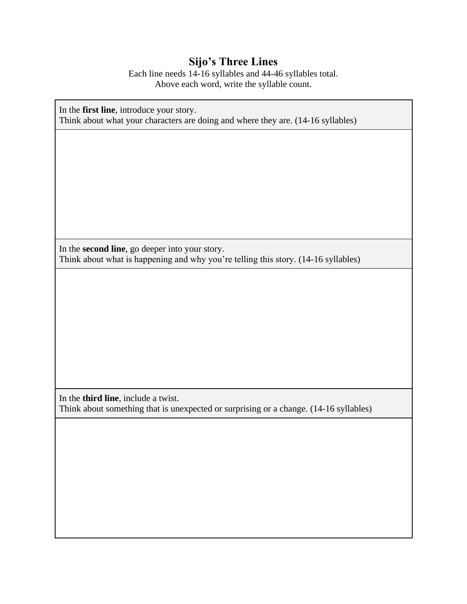#### **Sijo's Three Lines**

Each line needs 14-16 syllables and 44-46 syllables total. Above each word, write the syllable count.

In the **first line**, introduce your story. Think about what your characters are doing and where they are. (14-16 syllables)

In the **second line**, go deeper into your story. Think about what is happening and why you're telling this story. (14-16 syllables)

In the **third line**, include a twist. Think about something that is unexpected or surprising or a change. (14-16 syllables)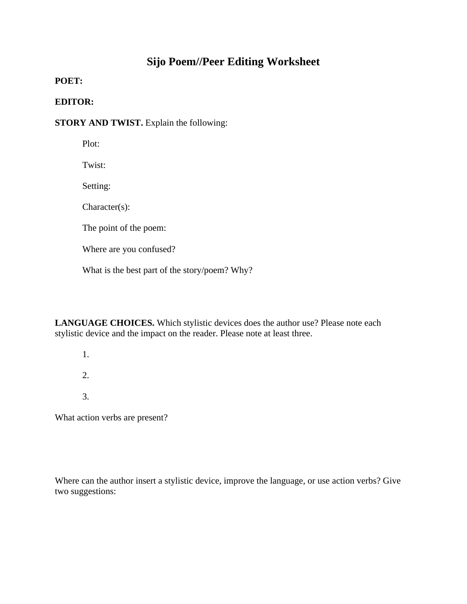### **Sijo Poem//Peer Editing Worksheet**

**POET:**

#### **EDITOR:**

**STORY AND TWIST.** Explain the following:

Plot:

Twist:

Setting:

Character(s):

The point of the poem:

Where are you confused?

What is the best part of the story/poem? Why?

**LANGUAGE CHOICES.** Which stylistic devices does the author use? Please note each stylistic device and the impact on the reader. Please note at least three.

1.

2.

3.

What action verbs are present?

Where can the author insert a stylistic device, improve the language, or use action verbs? Give two suggestions: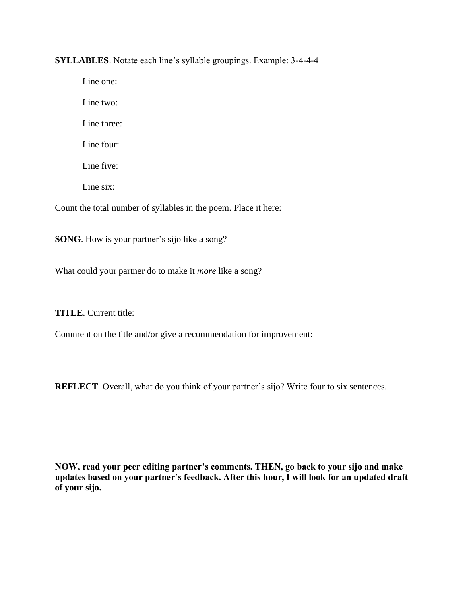**SYLLABLES**. Notate each line's syllable groupings. Example: 3-4-4-4

Line one: Line two: Line three: Line four: Line five: Line six: Count the total number of syllables in the poem. Place it here:

**SONG**. How is your partner's sijo like a song?

What could your partner do to make it *more* like a song?

**TITLE**. Current title:

Comment on the title and/or give a recommendation for improvement:

**REFLECT**. Overall, what do you think of your partner's sijo? Write four to six sentences.

**NOW, read your peer editing partner's comments. THEN, go back to your sijo and make updates based on your partner's feedback. After this hour, I will look for an updated draft of your sijo.**